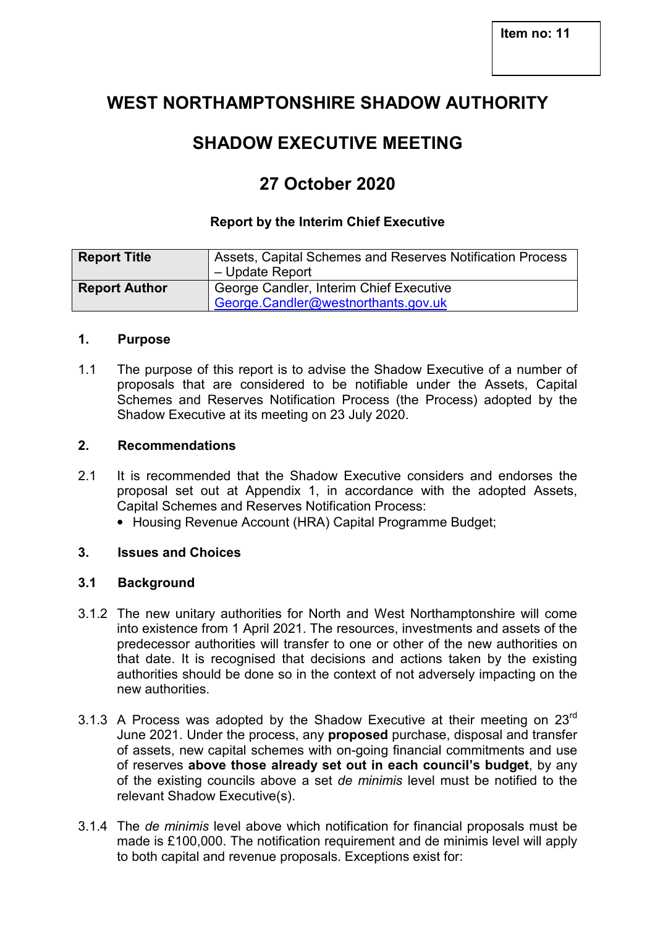## **WEST NORTHAMPTONSHIRE SHADOW AUTHORITY**

# **SHADOW EXECUTIVE MEETING**

## **27 October 2020**

### **Report by the Interim Chief Executive**

| <b>Report Title</b>  | Assets, Capital Schemes and Reserves Notification Process<br>- Update Report   |
|----------------------|--------------------------------------------------------------------------------|
| <b>Report Author</b> | George Candler, Interim Chief Executive<br>George.Candler@westnorthants.gov.uk |

#### **1. Purpose**

1.1 The purpose of this report is to advise the Shadow Executive of a number of proposals that are considered to be notifiable under the Assets, Capital Schemes and Reserves Notification Process (the Process) adopted by the Shadow Executive at its meeting on 23 July 2020.

#### **2. Recommendations**

- 2.1 It is recommended that the Shadow Executive considers and endorses the proposal set out at Appendix 1, in accordance with the adopted Assets, Capital Schemes and Reserves Notification Process:
	- Housing Revenue Account (HRA) Capital Programme Budget;

#### **3. Issues and Choices**

#### **3.1 Background**

- 3.1.2 The new unitary authorities for North and West Northamptonshire will come into existence from 1 April 2021. The resources, investments and assets of the predecessor authorities will transfer to one or other of the new authorities on that date. It is recognised that decisions and actions taken by the existing authorities should be done so in the context of not adversely impacting on the new authorities.
- 3.1.3 A Process was adopted by the Shadow Executive at their meeting on  $23^{\text{rd}}$ June 2021. Under the process, any **proposed** purchase, disposal and transfer of assets, new capital schemes with on-going financial commitments and use of reserves **above those already set out in each council's budget**, by any of the existing councils above a set *de minimis* level must be notified to the relevant Shadow Executive(s).
- 3.1.4 The *de minimis* level above which notification for financial proposals must be made is £100,000. The notification requirement and de minimis level will apply to both capital and revenue proposals. Exceptions exist for: